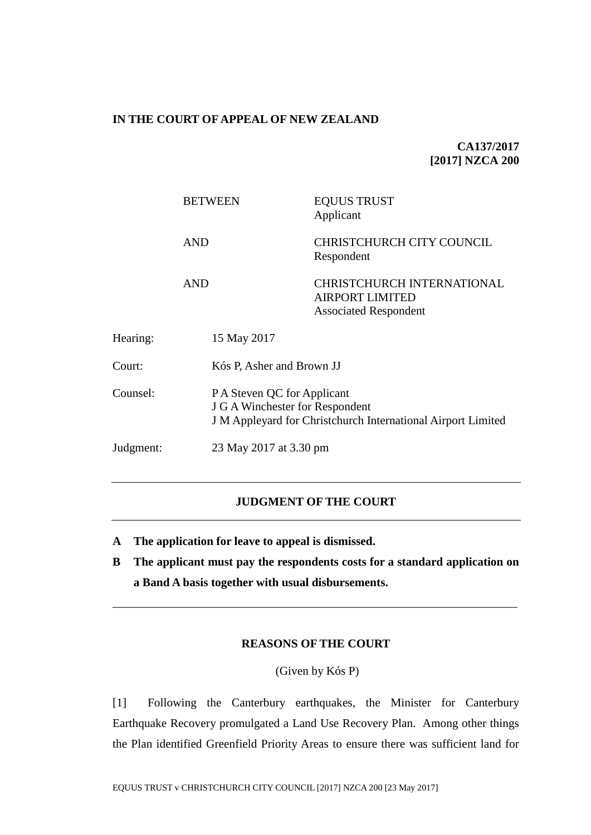## **IN THE COURT OF APPEAL OF NEW ZEALAND**

**CA137/2017 [2017] NZCA 200**

|           | <b>BETWEEN</b> | <b>EQUUS TRUST</b><br>Applicant                                                                                                              |  |
|-----------|----------------|----------------------------------------------------------------------------------------------------------------------------------------------|--|
|           | <b>AND</b>     | CHRISTCHURCH CITY COUNCIL<br>Respondent                                                                                                      |  |
|           | <b>AND</b>     | <b>CHRISTCHURCH INTERNATIONAL</b><br><b>AIRPORT LIMITED</b><br><b>Associated Respondent</b>                                                  |  |
| Hearing:  | 15 May 2017    |                                                                                                                                              |  |
| Court:    |                | Kós P, Asher and Brown JJ                                                                                                                    |  |
| Counsel:  |                | P A Steven QC for Applicant<br><b>J G A Winchester for Respondent</b><br><b>J</b> M Appleyard for Christchurch International Airport Limited |  |
| Judgment: |                | 23 May 2017 at 3.30 pm                                                                                                                       |  |

## **JUDGMENT OF THE COURT**

- **A The application for leave to appeal is dismissed.**
- **B The applicant must pay the respondents costs for a standard application on a Band A basis together with usual disbursements.**

\_\_\_\_\_\_\_\_\_\_\_\_\_\_\_\_\_\_\_\_\_\_\_\_\_\_\_\_\_\_\_\_\_\_\_\_\_\_\_\_\_\_\_\_\_\_\_\_\_\_\_\_\_\_\_\_\_\_\_\_\_\_\_\_\_\_\_\_

## **REASONS OF THE COURT**

(Given by Kós P)

[1] Following the Canterbury earthquakes, the Minister for Canterbury Earthquake Recovery promulgated a Land Use Recovery Plan. Among other things the Plan identified Greenfield Priority Areas to ensure there was sufficient land for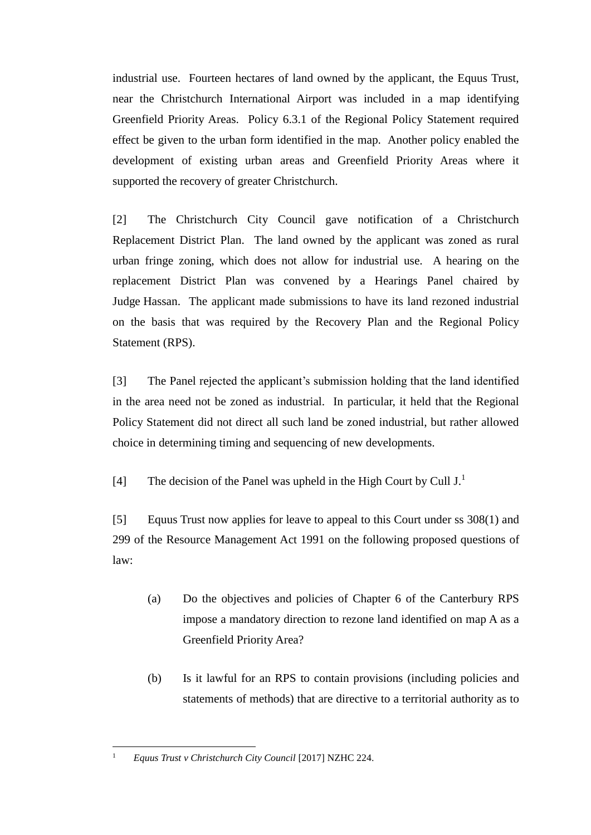industrial use. Fourteen hectares of land owned by the applicant, the Equus Trust, near the Christchurch International Airport was included in a map identifying Greenfield Priority Areas. Policy 6.3.1 of the Regional Policy Statement required effect be given to the urban form identified in the map. Another policy enabled the development of existing urban areas and Greenfield Priority Areas where it supported the recovery of greater Christchurch.

[2] The Christchurch City Council gave notification of a Christchurch Replacement District Plan. The land owned by the applicant was zoned as rural urban fringe zoning, which does not allow for industrial use. A hearing on the replacement District Plan was convened by a Hearings Panel chaired by Judge Hassan. The applicant made submissions to have its land rezoned industrial on the basis that was required by the Recovery Plan and the Regional Policy Statement (RPS).

[3] The Panel rejected the applicant's submission holding that the land identified in the area need not be zoned as industrial. In particular, it held that the Regional Policy Statement did not direct all such land be zoned industrial, but rather allowed choice in determining timing and sequencing of new developments.

[4] The decision of the Panel was upheld in the High Court by Cull  $J<sup>1</sup>$ .

[5] Equus Trust now applies for leave to appeal to this Court under ss 308(1) and 299 of the Resource Management Act 1991 on the following proposed questions of law:

- (a) Do the objectives and policies of Chapter 6 of the Canterbury RPS impose a mandatory direction to rezone land identified on map A as a Greenfield Priority Area?
- (b) Is it lawful for an RPS to contain provisions (including policies and statements of methods) that are directive to a territorial authority as to

 $\mathbf{1}$ 

<sup>1</sup> *Equus Trust v Christchurch City Council* [2017] NZHC 224.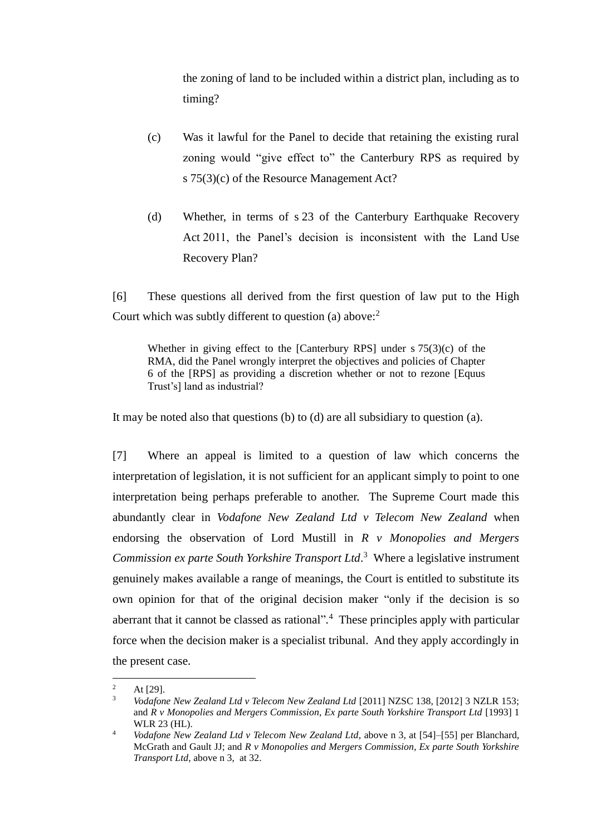the zoning of land to be included within a district plan, including as to timing?

- (c) Was it lawful for the Panel to decide that retaining the existing rural zoning would "give effect to" the Canterbury RPS as required by s 75(3)(c) of the Resource Management Act?
- (d) Whether, in terms of s 23 of the Canterbury Earthquake Recovery Act 2011, the Panel's decision is inconsistent with the Land Use Recovery Plan?

[6] These questions all derived from the first question of law put to the High Court which was subtly different to question (a) above:<sup>2</sup>

Whether in giving effect to the [Canterbury RPS] under s 75(3)(c) of the RMA, did the Panel wrongly interpret the objectives and policies of Chapter 6 of the [RPS] as providing a discretion whether or not to rezone [Equus Trust's] land as industrial?

It may be noted also that questions (b) to (d) are all subsidiary to question (a).

[7] Where an appeal is limited to a question of law which concerns the interpretation of legislation, it is not sufficient for an applicant simply to point to one interpretation being perhaps preferable to another. The Supreme Court made this abundantly clear in *Vodafone New Zealand Ltd v Telecom New Zealand* when endorsing the observation of Lord Mustill in *R v Monopolies and Mergers Commission ex parte South Yorkshire Transport Ltd*. 3 Where a legislative instrument genuinely makes available a range of meanings, the Court is entitled to substitute its own opinion for that of the original decision maker "only if the decision is so aberrant that it cannot be classed as rational"*.* 4 These principles apply with particular force when the decision maker is a specialist tribunal. And they apply accordingly in the present case.

 $\overline{a}$ 

<sup>&</sup>lt;sup>2</sup> At [29].

<sup>3</sup> *Vodafone New Zealand Ltd v Telecom New Zealand Ltd* [2011] NZSC 138, [2012] 3 NZLR 153; and *R v Monopolies and Mergers Commission, Ex parte South Yorkshire Transport Ltd* [1993] 1 WLR 23 (HL).

<sup>4</sup> *Vodafone New Zealand Ltd v Telecom New Zealand Ltd*, above n 3, at [54]–[55] per Blanchard, McGrath and Gault JJ; and *R v Monopolies and Mergers Commission, Ex parte South Yorkshire Transport Ltd*, above n 3, at 32.